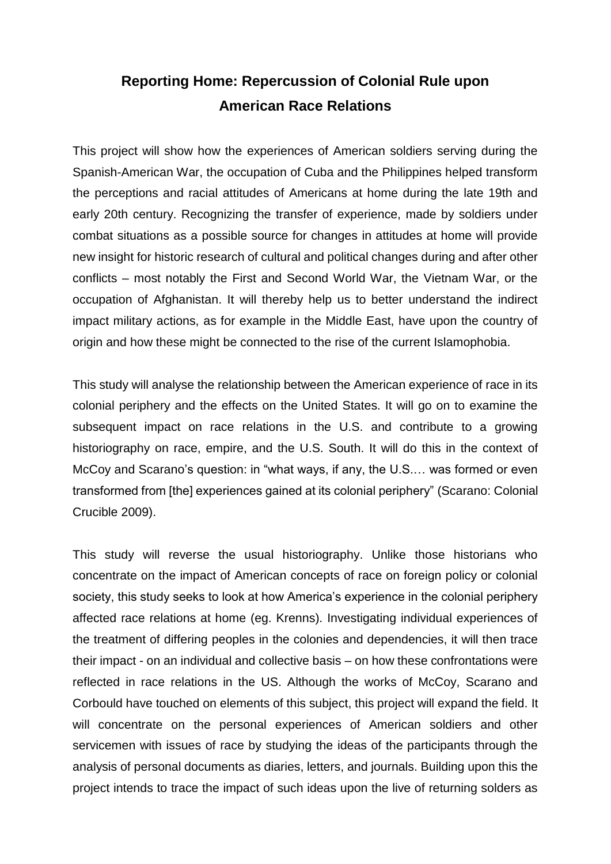## **Reporting Home: Repercussion of Colonial Rule upon American Race Relations**

This project will show how the experiences of American soldiers serving during the Spanish-American War, the occupation of Cuba and the Philippines helped transform the perceptions and racial attitudes of Americans at home during the late 19th and early 20th century. Recognizing the transfer of experience, made by soldiers under combat situations as a possible source for changes in attitudes at home will provide new insight for historic research of cultural and political changes during and after other conflicts – most notably the First and Second World War, the Vietnam War, or the occupation of Afghanistan. It will thereby help us to better understand the indirect impact military actions, as for example in the Middle East, have upon the country of origin and how these might be connected to the rise of the current Islamophobia.

This study will analyse the relationship between the American experience of race in its colonial periphery and the effects on the United States. It will go on to examine the subsequent impact on race relations in the U.S. and contribute to a growing historiography on race, empire, and the U.S. South. It will do this in the context of McCoy and Scarano's question: in "what ways, if any, the U.S.… was formed or even transformed from [the] experiences gained at its colonial periphery" (Scarano: Colonial Crucible 2009).

This study will reverse the usual historiography. Unlike those historians who concentrate on the impact of American concepts of race on foreign policy or colonial society, this study seeks to look at how America's experience in the colonial periphery affected race relations at home (eg. Krenns). Investigating individual experiences of the treatment of differing peoples in the colonies and dependencies, it will then trace their impact - on an individual and collective basis – on how these confrontations were reflected in race relations in the US. Although the works of McCoy, Scarano and Corbould have touched on elements of this subject, this project will expand the field. It will concentrate on the personal experiences of American soldiers and other servicemen with issues of race by studying the ideas of the participants through the analysis of personal documents as diaries, letters, and journals. Building upon this the project intends to trace the impact of such ideas upon the live of returning solders as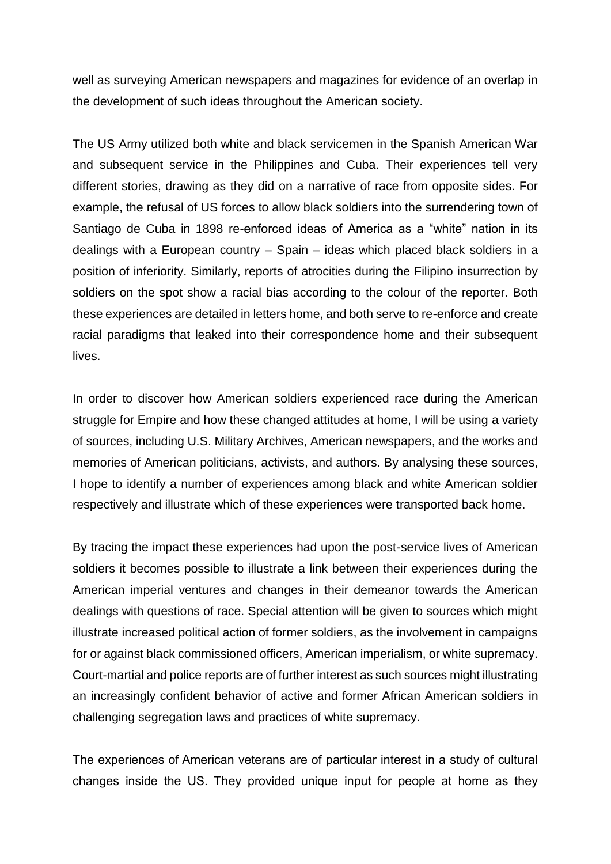well as surveying American newspapers and magazines for evidence of an overlap in the development of such ideas throughout the American society.

The US Army utilized both white and black servicemen in the Spanish American War and subsequent service in the Philippines and Cuba. Their experiences tell very different stories, drawing as they did on a narrative of race from opposite sides. For example, the refusal of US forces to allow black soldiers into the surrendering town of Santiago de Cuba in 1898 re-enforced ideas of America as a "white" nation in its dealings with a European country – Spain – ideas which placed black soldiers in a position of inferiority. Similarly, reports of atrocities during the Filipino insurrection by soldiers on the spot show a racial bias according to the colour of the reporter. Both these experiences are detailed in letters home, and both serve to re-enforce and create racial paradigms that leaked into their correspondence home and their subsequent lives.

In order to discover how American soldiers experienced race during the American struggle for Empire and how these changed attitudes at home, I will be using a variety of sources, including U.S. Military Archives, American newspapers, and the works and memories of American politicians, activists, and authors. By analysing these sources, I hope to identify a number of experiences among black and white American soldier respectively and illustrate which of these experiences were transported back home.

By tracing the impact these experiences had upon the post-service lives of American soldiers it becomes possible to illustrate a link between their experiences during the American imperial ventures and changes in their demeanor towards the American dealings with questions of race. Special attention will be given to sources which might illustrate increased political action of former soldiers, as the involvement in campaigns for or against black commissioned officers, American imperialism, or white supremacy. Court-martial and police reports are of further interest as such sources might illustrating an increasingly confident behavior of active and former African American soldiers in challenging segregation laws and practices of white supremacy.

The experiences of American veterans are of particular interest in a study of cultural changes inside the US. They provided unique input for people at home as they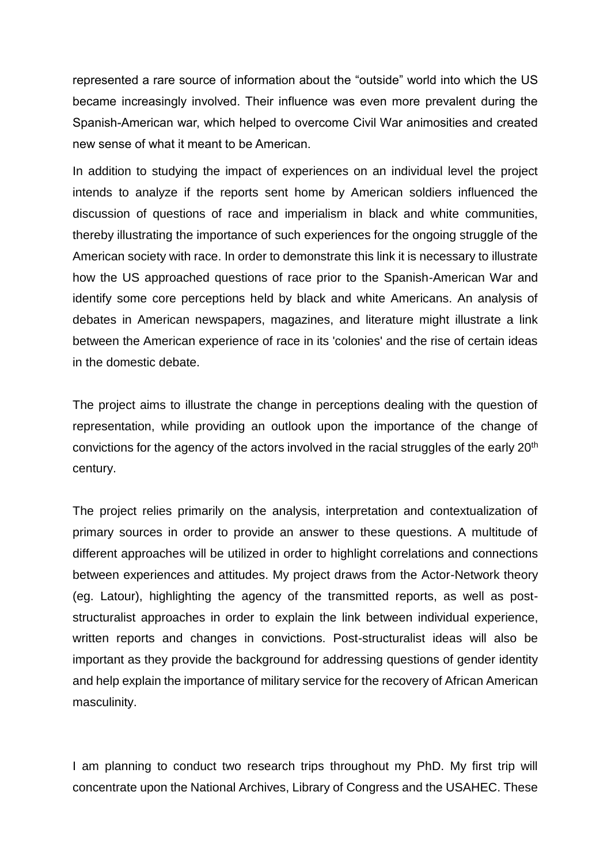represented a rare source of information about the "outside" world into which the US became increasingly involved. Their influence was even more prevalent during the Spanish-American war, which helped to overcome Civil War animosities and created new sense of what it meant to be American.

In addition to studying the impact of experiences on an individual level the project intends to analyze if the reports sent home by American soldiers influenced the discussion of questions of race and imperialism in black and white communities, thereby illustrating the importance of such experiences for the ongoing struggle of the American society with race. In order to demonstrate this link it is necessary to illustrate how the US approached questions of race prior to the Spanish-American War and identify some core perceptions held by black and white Americans. An analysis of debates in American newspapers, magazines, and literature might illustrate a link between the American experience of race in its 'colonies' and the rise of certain ideas in the domestic debate.

The project aims to illustrate the change in perceptions dealing with the question of representation, while providing an outlook upon the importance of the change of convictions for the agency of the actors involved in the racial struggles of the early 20<sup>th</sup> century.

The project relies primarily on the analysis, interpretation and contextualization of primary sources in order to provide an answer to these questions. A multitude of different approaches will be utilized in order to highlight correlations and connections between experiences and attitudes. My project draws from the Actor-Network theory (eg. Latour), highlighting the agency of the transmitted reports, as well as poststructuralist approaches in order to explain the link between individual experience, written reports and changes in convictions. Post-structuralist ideas will also be important as they provide the background for addressing questions of gender identity and help explain the importance of military service for the recovery of African American masculinity.

I am planning to conduct two research trips throughout my PhD. My first trip will concentrate upon the National Archives, Library of Congress and the USAHEC. These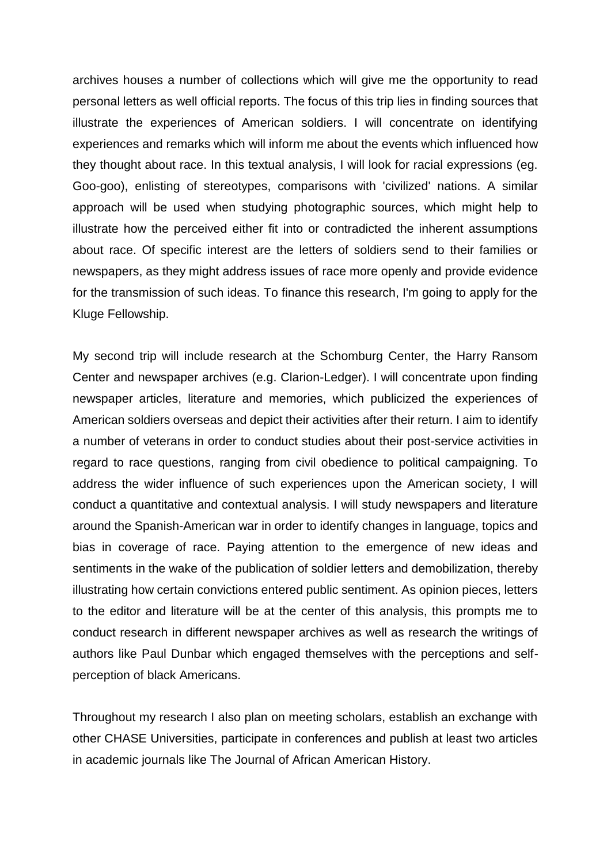archives houses a number of collections which will give me the opportunity to read personal letters as well official reports. The focus of this trip lies in finding sources that illustrate the experiences of American soldiers. I will concentrate on identifying experiences and remarks which will inform me about the events which influenced how they thought about race. In this textual analysis, I will look for racial expressions (eg. Goo-goo), enlisting of stereotypes, comparisons with 'civilized' nations. A similar approach will be used when studying photographic sources, which might help to illustrate how the perceived either fit into or contradicted the inherent assumptions about race. Of specific interest are the letters of soldiers send to their families or newspapers, as they might address issues of race more openly and provide evidence for the transmission of such ideas. To finance this research, I'm going to apply for the Kluge Fellowship.

My second trip will include research at the Schomburg Center, the Harry Ransom Center and newspaper archives (e.g. Clarion-Ledger). I will concentrate upon finding newspaper articles, literature and memories, which publicized the experiences of American soldiers overseas and depict their activities after their return. I aim to identify a number of veterans in order to conduct studies about their post-service activities in regard to race questions, ranging from civil obedience to political campaigning. To address the wider influence of such experiences upon the American society, I will conduct a quantitative and contextual analysis. I will study newspapers and literature around the Spanish-American war in order to identify changes in language, topics and bias in coverage of race. Paying attention to the emergence of new ideas and sentiments in the wake of the publication of soldier letters and demobilization, thereby illustrating how certain convictions entered public sentiment. As opinion pieces, letters to the editor and literature will be at the center of this analysis, this prompts me to conduct research in different newspaper archives as well as research the writings of authors like Paul Dunbar which engaged themselves with the perceptions and selfperception of black Americans.

Throughout my research I also plan on meeting scholars, establish an exchange with other CHASE Universities, participate in conferences and publish at least two articles in academic journals like The Journal of African American History.